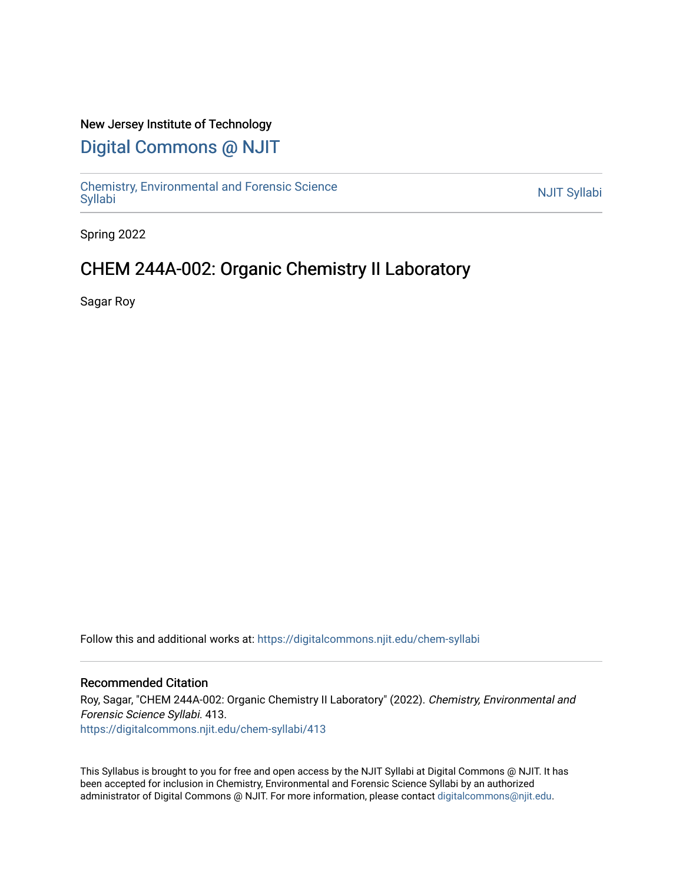## New Jersey Institute of Technology

# [Digital Commons @ NJIT](https://digitalcommons.njit.edu/)

Chemistry, Environmental and Forensic Science<br>Syllabi

Spring 2022

# CHEM 244A-002: Organic Chemistry II Laboratory

Sagar Roy

Follow this and additional works at: [https://digitalcommons.njit.edu/chem-syllabi](https://digitalcommons.njit.edu/chem-syllabi?utm_source=digitalcommons.njit.edu%2Fchem-syllabi%2F413&utm_medium=PDF&utm_campaign=PDFCoverPages) 

#### Recommended Citation

Roy, Sagar, "CHEM 244A-002: Organic Chemistry II Laboratory" (2022). Chemistry, Environmental and Forensic Science Syllabi. 413. [https://digitalcommons.njit.edu/chem-syllabi/413](https://digitalcommons.njit.edu/chem-syllabi/413?utm_source=digitalcommons.njit.edu%2Fchem-syllabi%2F413&utm_medium=PDF&utm_campaign=PDFCoverPages) 

This Syllabus is brought to you for free and open access by the NJIT Syllabi at Digital Commons @ NJIT. It has been accepted for inclusion in Chemistry, Environmental and Forensic Science Syllabi by an authorized administrator of Digital Commons @ NJIT. For more information, please contact [digitalcommons@njit.edu.](mailto:digitalcommons@njit.edu)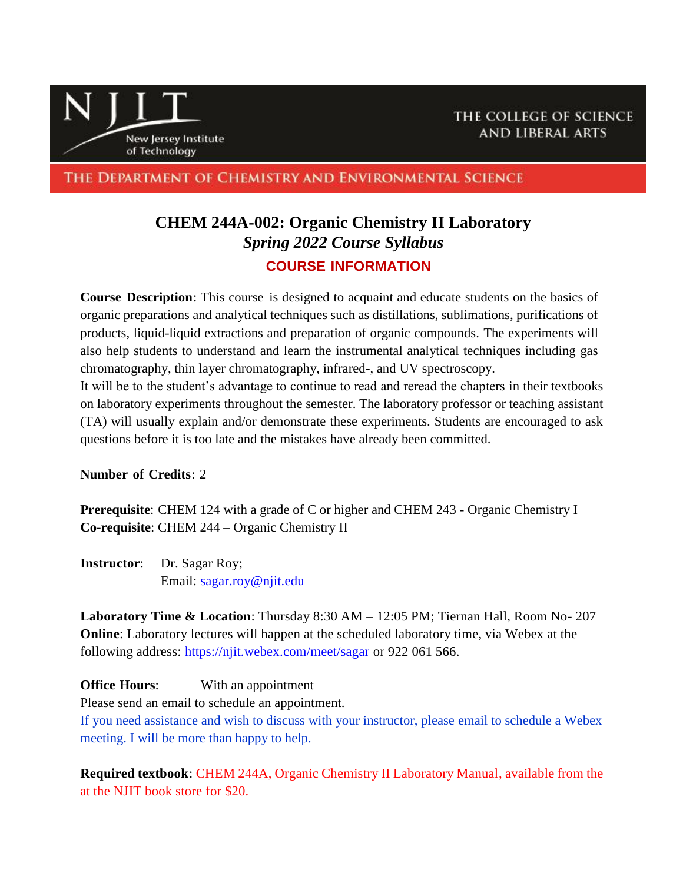

THE DEPARTMENT OF CHEMISTRY AND ENVIRONMENTAL SCIENCE

# **CHEM 244A-002: Organic Chemistry II Laboratory** *Spring 2022 Course Syllabus* **COURSE INFORMATION**

**Course Description**: This course is designed to acquaint and educate students on the basics of organic preparations and analytical techniques such as distillations, sublimations, purifications of products, liquid-liquid extractions and preparation of organic compounds. The experiments will also help students to understand and learn the instrumental analytical techniques including gas chromatography, thin layer chromatography, infrared-, and UV spectroscopy.

It will be to the student's advantage to continue to read and reread the chapters in their textbooks on laboratory experiments throughout the semester. The laboratory professor or teaching assistant (TA) will usually explain and/or demonstrate these experiments. Students are encouraged to ask questions before it is too late and the mistakes have already been committed.

**Number of Credits**: 2

**Prerequisite**: CHEM 124 with a grade of C or higher and CHEM 243 - Organic Chemistry I **Co-requisite**: CHEM 244 – Organic Chemistry II

**Instructor**: Dr. Sagar Roy; Email: [sagar.roy@njit.edu](mailto:sagar.roy@njit.edu)

**Laboratory Time & Location**: Thursday 8:30 AM – 12:05 PM; Tiernan Hall, Room No- 207 **Online**: Laboratory lectures will happen at the scheduled laboratory time, via Webex at the following address:<https://njit.webex.com/meet/sagar> or 922 061 566.

**Office Hours**: With an appointment

Please send an email to schedule an appointment.

If you need assistance and wish to discuss with your instructor, please email to schedule a Webex meeting. I will be more than happy to help.

**Required textbook**: CHEM 244A, Organic Chemistry II Laboratory Manual, available from the at the NJIT book store for \$20.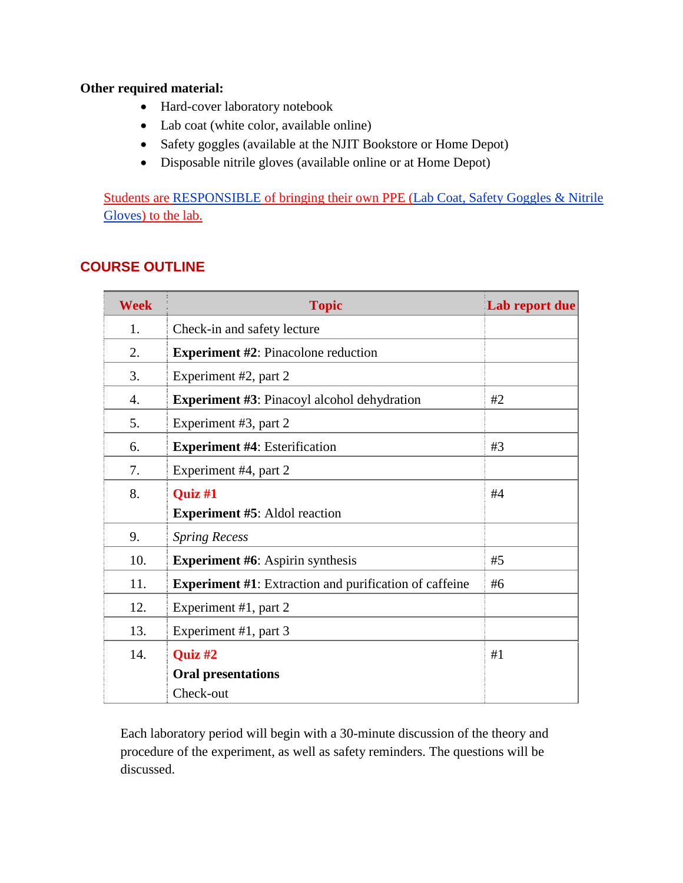## **Other required material:**

- Hard-cover laboratory notebook
- Lab coat (white color, available online)
- Safety goggles (available at the NJIT Bookstore or Home Depot)
- Disposable nitrile gloves (available online or at Home Depot)

Students are RESPONSIBLE of bringing their own PPE (Lab Coat, Safety Goggles & Nitrile Gloves) to the lab.

# **COURSE OUTLINE**

| <b>Week</b> | <b>Topic</b>                                                        | Lab report due |  |  |
|-------------|---------------------------------------------------------------------|----------------|--|--|
| 1.          | Check-in and safety lecture                                         |                |  |  |
| 2.          | <b>Experiment #2: Pinacolone reduction</b>                          |                |  |  |
| 3.          | Experiment #2, part 2                                               |                |  |  |
| 4.          | <b>Experiment #3: Pinacoyl alcohol dehydration</b>                  | #2             |  |  |
| 5.          | Experiment #3, part 2                                               |                |  |  |
| 6.          | <b>Experiment #4: Esterification</b>                                | #3             |  |  |
| 7.          | Experiment #4, part 2                                               |                |  |  |
| 8.          | Quiz #1                                                             | #4             |  |  |
|             | <b>Experiment #5:</b> Aldol reaction                                |                |  |  |
| 9.          | <b>Spring Recess</b>                                                |                |  |  |
| 10.         | <b>Experiment #6:</b> Aspirin synthesis<br>#5                       |                |  |  |
| 11.         | <b>Experiment #1:</b> Extraction and purification of caffeine<br>#6 |                |  |  |
| 12.         | Experiment #1, part 2                                               |                |  |  |
| 13.         | Experiment #1, part 3                                               |                |  |  |
| 14.         | Quiz #2                                                             | #1             |  |  |
|             | <b>Oral presentations</b>                                           |                |  |  |
|             | Check-out                                                           |                |  |  |

Each laboratory period will begin with a 30-minute discussion of the theory and procedure of the experiment, as well as safety reminders. The questions will be discussed.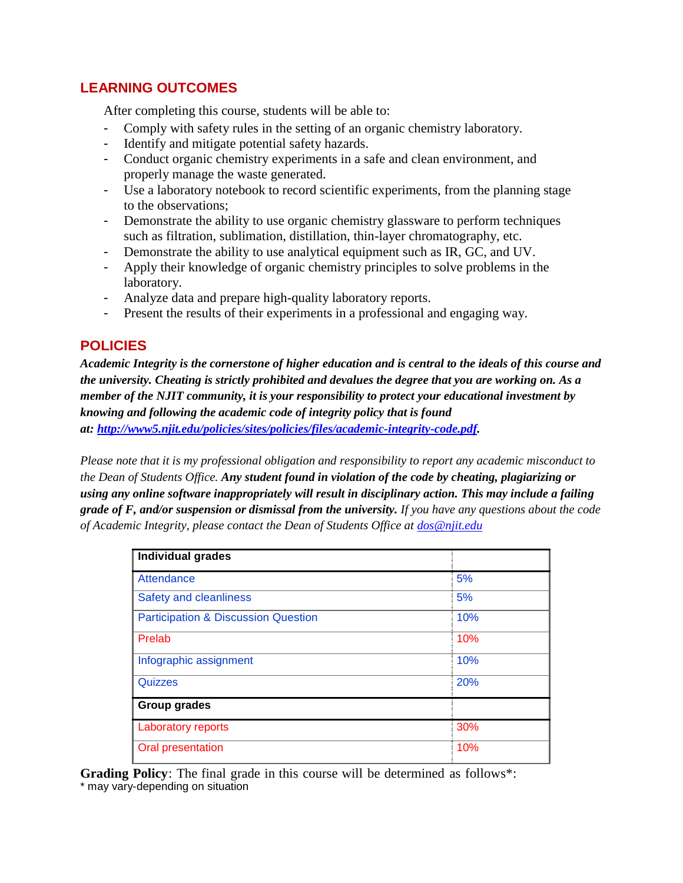# **LEARNING OUTCOMES**

After completing this course, students will be able to:

- Comply with safety rules in the setting of an organic chemistry laboratory.
- Identify and mitigate potential safety hazards.
- Conduct organic chemistry experiments in a safe and clean environment, and properly manage the waste generated.
- Use a laboratory notebook to record scientific experiments, from the planning stage to the observations;
- Demonstrate the ability to use organic chemistry glassware to perform techniques such as filtration, sublimation, distillation, thin-layer chromatography, etc.
- Demonstrate the ability to use analytical equipment such as IR, GC, and UV.
- Apply their knowledge of organic chemistry principles to solve problems in the laboratory.
- Analyze data and prepare high-quality laboratory reports.
- Present the results of their experiments in a professional and engaging way.

# **POLICIES**

*Academic Integrity is the cornerstone of higher education and is central to the ideals of this course and the university. Cheating is strictly prohibited and devalues the degree that you are working on. As a member of the NJIT community, it is your responsibility to protect your educational investment by knowing and following the academic code of integrity policy that is found at: [http://www5.njit.edu/policies/sites/policies/files/academic-integrity-code.pdf.](http://www5.njit.edu/policies/sites/policies/files/academic-integrity-code.pdf)* 

*Please note that it is my professional obligation and responsibility to report any academic misconduct to the Dean of Students Office. Any student found in violation of the code by cheating, plagiarizing or using any online software inappropriately will result in disciplinary action. This may include a failing grade of F, and/or suspension or dismissal from the university. If you have any questions about the code of Academic Integrity, please contact the Dean of Students Office at [dos@njit.edu](mailto:dos@njit.edu)*

| <b>Individual grades</b>                       |     |  |
|------------------------------------------------|-----|--|
| Attendance                                     | 5%  |  |
| <b>Safety and cleanliness</b>                  | 5%  |  |
| <b>Participation &amp; Discussion Question</b> | 10% |  |
| Prelab                                         | 10% |  |
| Infographic assignment                         | 10% |  |
| Quizzes                                        | 20% |  |
| <b>Group grades</b>                            |     |  |
| Laboratory reports                             | 30% |  |
| Oral presentation                              | 10% |  |

**Grading Policy**: The final grade in this course will be determined as follows\*: \* may vary-depending on situation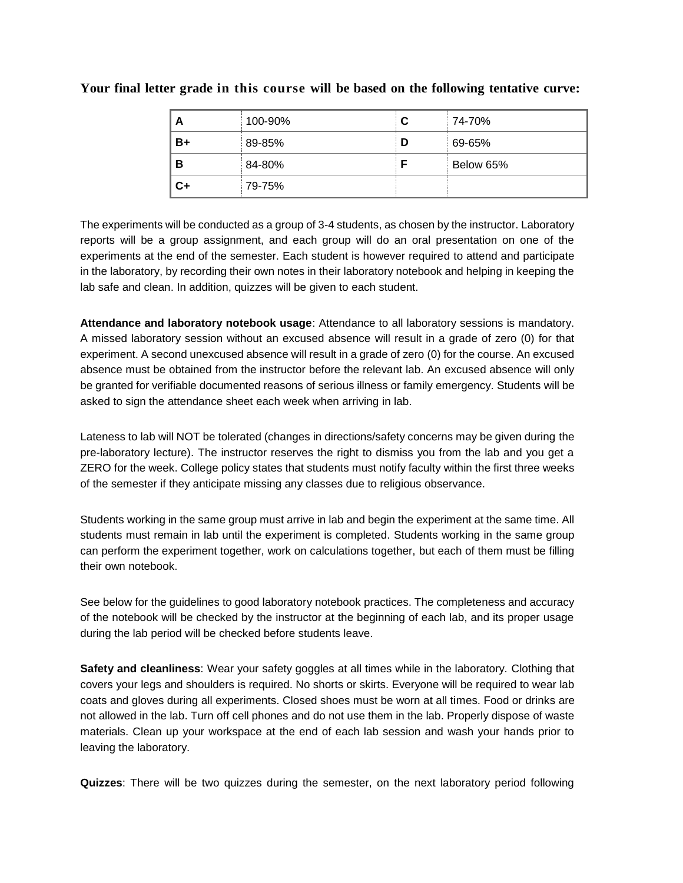| A    | 100-90% | C | 74-70%    |
|------|---------|---|-----------|
| $B+$ | 89-85%  | D | 69-65%    |
| В    | 84-80%  |   | Below 65% |
| C+   | 79-75%  |   |           |

#### **Your final letter grade in this course will be based on the following tentative curve:**

The experiments will be conducted as a group of 3-4 students, as chosen by the instructor. Laboratory reports will be a group assignment, and each group will do an oral presentation on one of the experiments at the end of the semester. Each student is however required to attend and participate in the laboratory, by recording their own notes in their laboratory notebook and helping in keeping the lab safe and clean. In addition, quizzes will be given to each student.

**Attendance and laboratory notebook usage**: Attendance to all laboratory sessions is mandatory. A missed laboratory session without an excused absence will result in a grade of zero (0) for that experiment. A second unexcused absence will result in a grade of zero (0) for the course. An excused absence must be obtained from the instructor before the relevant lab. An excused absence will only be granted for verifiable documented reasons of serious illness or family emergency. Students will be asked to sign the attendance sheet each week when arriving in lab.

Lateness to lab will NOT be tolerated (changes in directions/safety concerns may be given during the pre-laboratory lecture). The instructor reserves the right to dismiss you from the lab and you get a ZERO for the week. College policy states that students must notify faculty within the first three weeks of the semester if they anticipate missing any classes due to religious observance.

Students working in the same group must arrive in lab and begin the experiment at the same time. All students must remain in lab until the experiment is completed. Students working in the same group can perform the experiment together, work on calculations together, but each of them must be filling their own notebook.

See below for the guidelines to good laboratory notebook practices. The completeness and accuracy of the notebook will be checked by the instructor at the beginning of each lab, and its proper usage during the lab period will be checked before students leave.

**Safety and cleanliness**: Wear your safety goggles at all times while in the laboratory. Clothing that covers your legs and shoulders is required. No shorts or skirts. Everyone will be required to wear lab coats and gloves during all experiments. Closed shoes must be worn at all times. Food or drinks are not allowed in the lab. Turn off cell phones and do not use them in the lab. Properly dispose of waste materials. Clean up your workspace at the end of each lab session and wash your hands prior to leaving the laboratory.

**Quizzes**: There will be two quizzes during the semester, on the next laboratory period following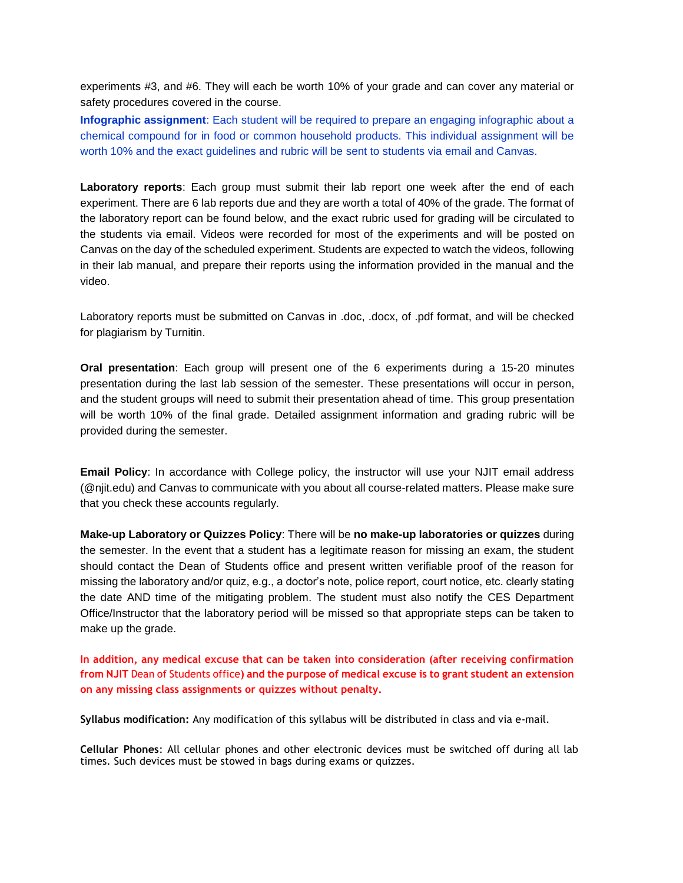experiments #3, and #6. They will each be worth 10% of your grade and can cover any material or safety procedures covered in the course.

**Infographic assignment**: Each student will be required to prepare an engaging infographic about a chemical compound for in food or common household products. This individual assignment will be worth 10% and the exact guidelines and rubric will be sent to students via email and Canvas.

**Laboratory reports**: Each group must submit their lab report one week after the end of each experiment. There are 6 lab reports due and they are worth a total of 40% of the grade. The format of the laboratory report can be found below, and the exact rubric used for grading will be circulated to the students via email. Videos were recorded for most of the experiments and will be posted on Canvas on the day of the scheduled experiment. Students are expected to watch the videos, following in their lab manual, and prepare their reports using the information provided in the manual and the video.

Laboratory reports must be submitted on Canvas in .doc, .docx, of .pdf format, and will be checked for plagiarism by Turnitin.

**Oral presentation**: Each group will present one of the 6 experiments during a 15-20 minutes presentation during the last lab session of the semester. These presentations will occur in person, and the student groups will need to submit their presentation ahead of time. This group presentation will be worth 10% of the final grade. Detailed assignment information and grading rubric will be provided during the semester.

**Email Policy**: In accordance with College policy, the instructor will use your NJIT email address (@njit.edu) and Canvas to communicate with you about all course-related matters. Please make sure that you check these accounts regularly.

**Make-up Laboratory or Quizzes Policy**: There will be **no make-up laboratories or quizzes** during the semester. In the event that a student has a legitimate reason for missing an exam, the student should contact the Dean of Students office and present written verifiable proof of the reason for missing the laboratory and/or quiz, e.g., a doctor's note, police report, court notice, etc. clearly stating the date AND time of the mitigating problem. The student must also notify the CES Department Office/Instructor that the laboratory period will be missed so that appropriate steps can be taken to make up the grade.

**In addition, any medical excuse that can be taken into consideration (after receiving confirmation from NJIT** Dean of Students office**) and the purpose of medical excuse is to grant student an extension on any missing class assignments or quizzes without penalty.**

**Syllabus modification:** Any modification of this syllabus will be distributed in class and via e-mail.

**Cellular Phones**: All cellular phones and other electronic devices must be switched off during all lab times. Such devices must be stowed in bags during exams or quizzes.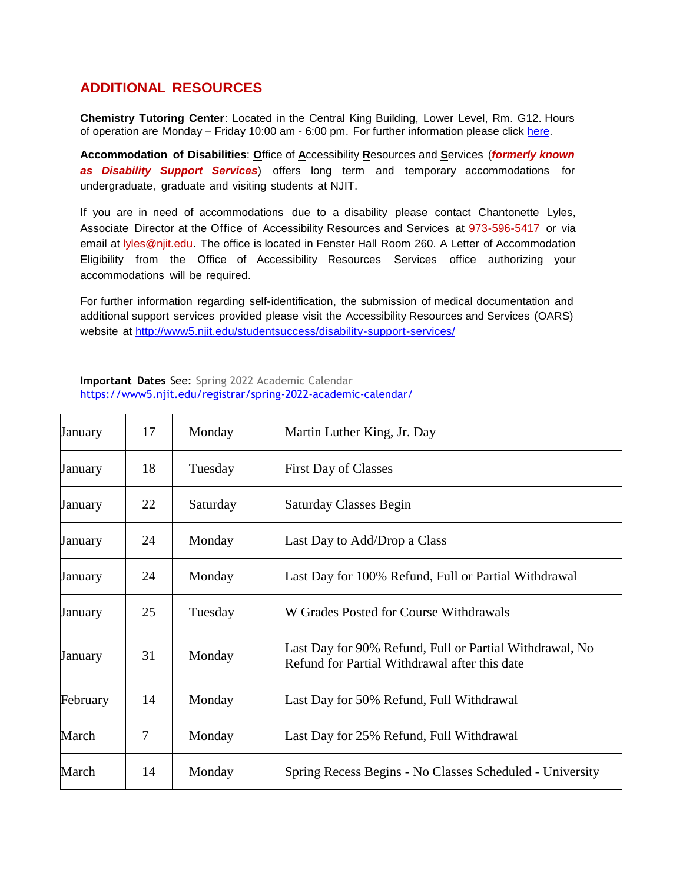# **ADDITIONAL RESOURCES**

**Chemistry Tutoring Center**: Located in the Central King Building, Lower Level, Rm. G12. Hours of operation are Monday – Friday 10:00 am - 6:00 pm. For further information please click [here.](http://chemistry.njit.edu/students/)

**Accommodation of Disabilities**: **O**ffice of **A**ccessibility **R**esources and **S**ervices (*formerly known as Disability Support Services*) offers long term and temporary accommodations for undergraduate, graduate and visiting students at NJIT.

If you are in need of accommodations due to a disability please contact Chantonette Lyles, Associate Director at the Office of Accessibility Resources and Services at 973-596-5417 or via email at [lyles@njit.edu.](mailto:lyles@njit.edu) The office is located in Fenster Hall Room 260. A Letter of Accommodation Eligibility from the Office of Accessibility Resources Services office authorizing your accommodations will be required.

For further information regarding self-identification, the submission of medical documentation and additional support services provided please visit the Accessibility Resources and Services (OARS) website at [http://www5.njit.edu/studentsuccess/disability-support-services/](http://www.njit.edu/studentsuccess/accessibility/)

#### **Important Dates** See: Spring 2022 Academic Calendar <https://www5.njit.edu/registrar/spring-2022-academic-calendar/>

| January  | 17             | Monday   | Martin Luther King, Jr. Day                                                                              |
|----------|----------------|----------|----------------------------------------------------------------------------------------------------------|
| January  | 18             | Tuesday  | <b>First Day of Classes</b>                                                                              |
| January  | 22             | Saturday | Saturday Classes Begin                                                                                   |
| January  | 24             | Monday   | Last Day to Add/Drop a Class                                                                             |
| January  | 24             | Monday   | Last Day for 100% Refund, Full or Partial Withdrawal                                                     |
| January  | 25             | Tuesday  | W Grades Posted for Course Withdrawals                                                                   |
| January  | 31             | Monday   | Last Day for 90% Refund, Full or Partial Withdrawal, No<br>Refund for Partial Withdrawal after this date |
| February | 14             | Monday   | Last Day for 50% Refund, Full Withdrawal                                                                 |
| March    | $\overline{7}$ | Monday   | Last Day for 25% Refund, Full Withdrawal                                                                 |
| March    | 14             | Monday   | Spring Recess Begins - No Classes Scheduled - University                                                 |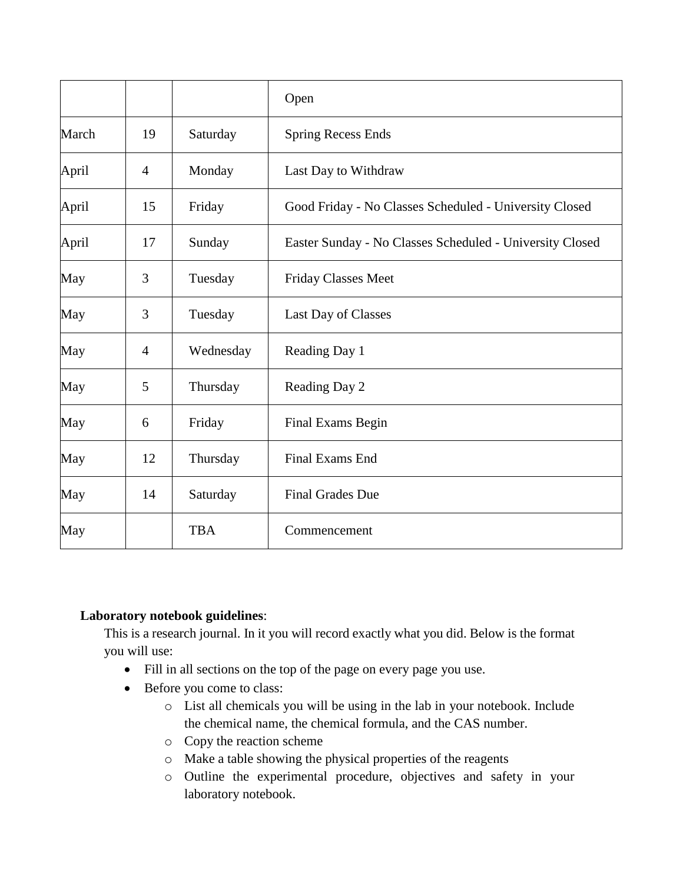|       |                |            | Open                                                     |
|-------|----------------|------------|----------------------------------------------------------|
| March | 19             | Saturday   | <b>Spring Recess Ends</b>                                |
| April | $\overline{4}$ | Monday     | Last Day to Withdraw                                     |
| April | 15             | Friday     | Good Friday - No Classes Scheduled - University Closed   |
| April | 17             | Sunday     | Easter Sunday - No Classes Scheduled - University Closed |
| May   | 3              | Tuesday    | Friday Classes Meet                                      |
| May   | 3              | Tuesday    | Last Day of Classes                                      |
| May   | $\overline{4}$ | Wednesday  | Reading Day 1                                            |
| May   | 5              | Thursday   | Reading Day 2                                            |
| May   | 6              | Friday     | Final Exams Begin                                        |
| May   | 12             | Thursday   | Final Exams End                                          |
| May   | 14             | Saturday   | <b>Final Grades Due</b>                                  |
| May   |                | <b>TBA</b> | Commencement                                             |

# **Laboratory notebook guidelines**:

This is a research journal. In it you will record exactly what you did. Below is the format you will use:

- Fill in all sections on the top of the page on every page you use.
- Before you come to class:
	- o List all chemicals you will be using in the lab in your notebook. Include the chemical name, the chemical formula, and the CAS number.
	- o Copy the reaction scheme
	- o Make a table showing the physical properties of the reagents
	- o Outline the experimental procedure, objectives and safety in your laboratory notebook.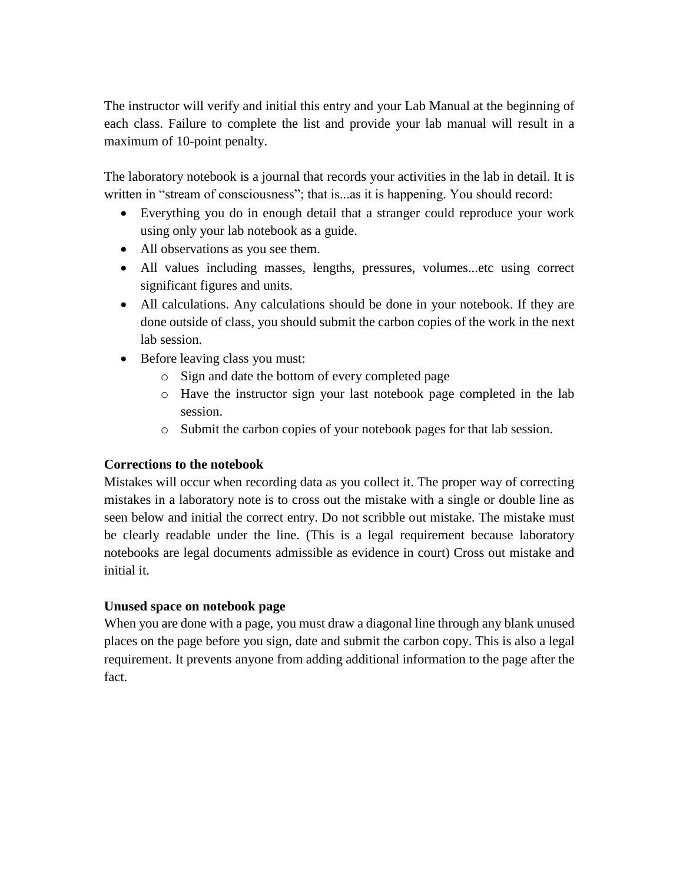The instructor will verify and initial this entry and your Lab Manual at the beginning of each class. Failure to complete the list and provide your lab manual will result in a maximum of 10-point penalty.

The laboratory notebook is a journal that records your activities in the lab in detail. It is written in "stream of consciousness"; that is as it is happening. You should record:

- Everything you do in enough detail that a stranger could reproduce your work using only your lab notebook as a guide.
- All observations as you see them.
- All values including masses, lengths, pressures, volumes...etc using correct significant figures and units.
- All calculations. Any calculations should be done in your notebook. If they are done outside of class, you should submit the carbon copies of the work in the next lab session.
- Before leaving class you must:
	- o Sign and date the bottom of every completed page
	- o Have the instructor sign your last notebook page completed in the lab session.
	- o Submit the carbon copies of your notebook pages for that lab session.

### **Corrections to the notebook**

Mistakes will occur when recording data as you collect it. The proper way of correcting mistakes in a laboratory note is to cross out the mistake with a single or double line as seen below and initial the correct entry. Do not scribble out mistake. The mistake must be clearly readable under the line. (This is a legal requirement because laboratory notebooks are legal documents admissible as evidence in court) Cross out mistake and initial it.

### **Unused space on notebook page**

When you are done with a page, you must draw a diagonal line through any blank unused places on the page before you sign, date and submit the carbon copy. This is also a legal requirement. It prevents anyone from adding additional information to the page after the fact.